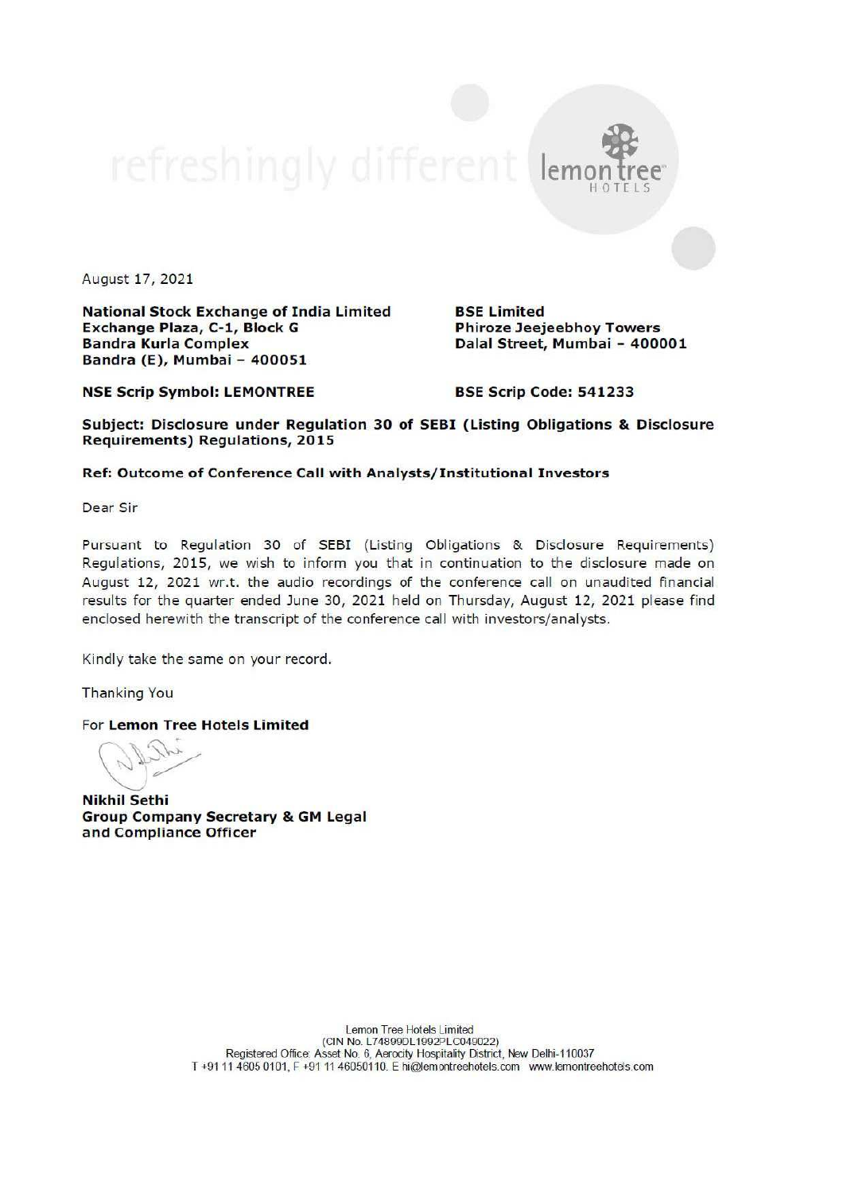August 17, 2021

National Stock Exchange of India Limited Exchange Plaza, C-1, Block G Bandra Kurla Complex Bandra (E), Mumbai - 400051

BSE Limited Phiroze Jeejeebhoy Towers Dalal Street, Mumbai - 400001

 $|$ en

NSE Scrip Symbol: LEMONTREE

BSE Scrip Code: 541233

Subject: Disclosure under Regulation 30 of SEBI (Listing Obligations & Disclosure Requirements) Regulations, 2015

## Ref: Outcome of Conference Call with Analysts/Institutional Investors

Dear Sir

Pursuant to Regulation 30 of SEBI (Listing Obligations & Disclosure Requirements) Regulations, 2015, we wish to inform you that in continuation to the disclosure made on August 12, 2021 wr.t. the audio recordings of the conference call on unaudited financial results for the quarter ended June 30, 2021 held on Thursday, August 12, 2021 please find enclosed herewith the transcript of the conference call with investors/analysts.

Kindly take the same on your record.

Thanking You

For Lemon Tree Hotels Limited

Optin

Nikhil Sethi Group Company Secretary & GM Legal and Compliance Officer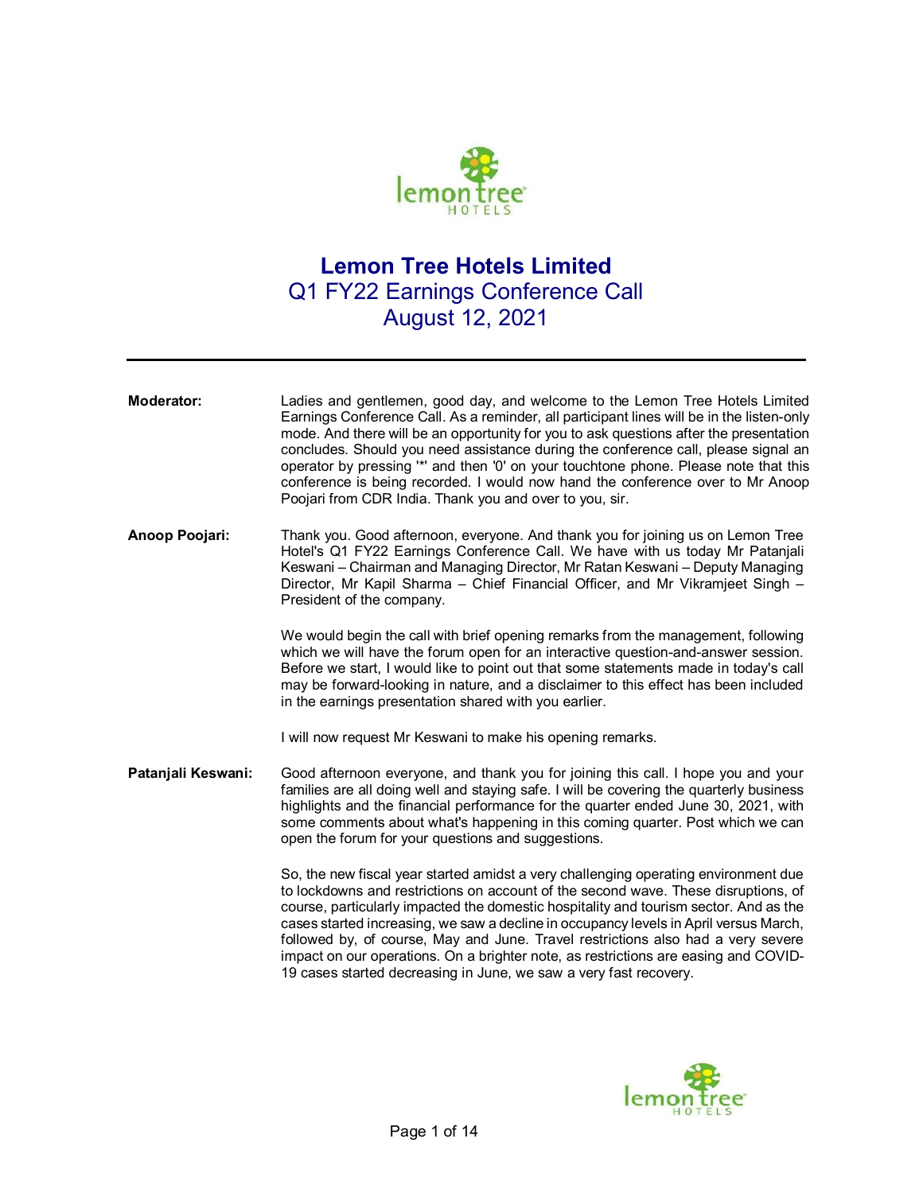

## **Lemon Tree Hotels Limited**  Q1 FY22 Earnings Conference Call August 12, 2021

**Moderator:** Ladies and gentlemen, good day, and welcome to the Lemon Tree Hotels Limited Earnings Conference Call. As a reminder, all participant lines will be in the listen-only mode. And there will be an opportunity for you to ask questions after the presentation concludes. Should you need assistance during the conference call, please signal an operator by pressing '\*' and then '0' on your touchtone phone. Please note that this conference is being recorded. I would now hand the conference over to Mr Anoop Poojari from CDR India. Thank you and over to you, sir.

**Anoop Poojari:** Thank you. Good afternoon, everyone. And thank you for joining us on Lemon Tree Hotel's Q1 FY22 Earnings Conference Call. We have with us today Mr Patanjali Keswani – Chairman and Managing Director, Mr Ratan Keswani – Deputy Managing Director, Mr Kapil Sharma – Chief Financial Officer, and Mr Vikramjeet Singh – President of the company.

> We would begin the call with brief opening remarks from the management, following which we will have the forum open for an interactive question-and-answer session. Before we start, I would like to point out that some statements made in today's call may be forward-looking in nature, and a disclaimer to this effect has been included in the earnings presentation shared with you earlier.

I will now request Mr Keswani to make his opening remarks.

**Patanjali Keswani:** Good afternoon everyone, and thank you for joining this call. I hope you and your families are all doing well and staying safe. I will be covering the quarterly business highlights and the financial performance for the quarter ended June 30, 2021, with some comments about what's happening in this coming quarter. Post which we can open the forum for your questions and suggestions.

> So, the new fiscal year started amidst a very challenging operating environment due to lockdowns and restrictions on account of the second wave. These disruptions, of course, particularly impacted the domestic hospitality and tourism sector. And as the cases started increasing, we saw a decline in occupancy levels in April versus March, followed by, of course, May and June. Travel restrictions also had a very severe impact on our operations. On a brighter note, as restrictions are easing and COVID-19 cases started decreasing in June, we saw a very fast recovery.

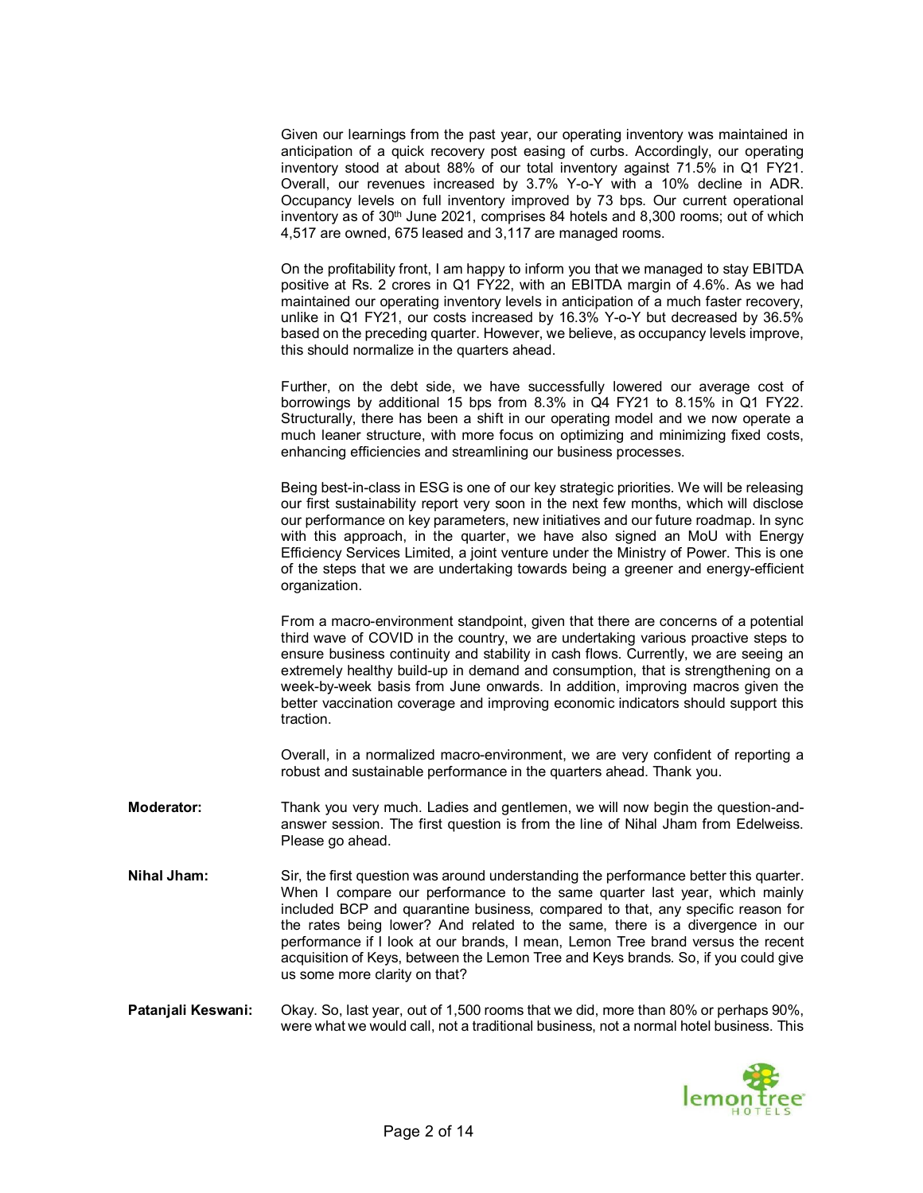Given our learnings from the past year, our operating inventory was maintained in anticipation of a quick recovery post easing of curbs. Accordingly, our operating inventory stood at about 88% of our total inventory against 71.5% in Q1 FY21. Overall, our revenues increased by 3.7% Y-o-Y with a 10% decline in ADR. Occupancy levels on full inventory improved by 73 bps. Our current operational inventory as of 30<sup>th</sup> June 2021, comprises 84 hotels and 8,300 rooms; out of which 4,517 are owned, 675 leased and 3,117 are managed rooms.

On the profitability front, I am happy to inform you that we managed to stay EBITDA positive at Rs. 2 crores in Q1 FY22, with an EBITDA margin of 4.6%. As we had maintained our operating inventory levels in anticipation of a much faster recovery, unlike in Q1 FY21, our costs increased by 16.3% Y-o-Y but decreased by 36.5% based on the preceding quarter. However, we believe, as occupancy levels improve, this should normalize in the quarters ahead.

Further, on the debt side, we have successfully lowered our average cost of borrowings by additional 15 bps from 8.3% in Q4 FY21 to 8.15% in Q1 FY22. Structurally, there has been a shift in our operating model and we now operate a much leaner structure, with more focus on optimizing and minimizing fixed costs, enhancing efficiencies and streamlining our business processes.

Being best-in-class in ESG is one of our key strategic priorities. We will be releasing our first sustainability report very soon in the next few months, which will disclose our performance on key parameters, new initiatives and our future roadmap. In sync with this approach, in the quarter, we have also signed an MoU with Energy Efficiency Services Limited, a joint venture under the Ministry of Power. This is one of the steps that we are undertaking towards being a greener and energy-efficient organization.

From a macro-environment standpoint, given that there are concerns of a potential third wave of COVID in the country, we are undertaking various proactive steps to ensure business continuity and stability in cash flows. Currently, we are seeing an extremely healthy build-up in demand and consumption, that is strengthening on a week-by-week basis from June onwards. In addition, improving macros given the better vaccination coverage and improving economic indicators should support this traction.

Overall, in a normalized macro-environment, we are very confident of reporting a robust and sustainable performance in the quarters ahead. Thank you.

- **Moderator:** Thank you very much. Ladies and gentlemen, we will now begin the question-andanswer session. The first question is from the line of Nihal Jham from Edelweiss. Please go ahead.
- **Nihal Jham:** Sir, the first question was around understanding the performance better this quarter. When I compare our performance to the same quarter last year, which mainly included BCP and quarantine business, compared to that, any specific reason for the rates being lower? And related to the same, there is a divergence in our performance if I look at our brands, I mean, Lemon Tree brand versus the recent acquisition of Keys, between the Lemon Tree and Keys brands. So, if you could give us some more clarity on that?
- **Patanjali Keswani:** Okay. So, last year, out of 1,500 rooms that we did, more than 80% or perhaps 90%, were what we would call, not a traditional business, not a normal hotel business. This

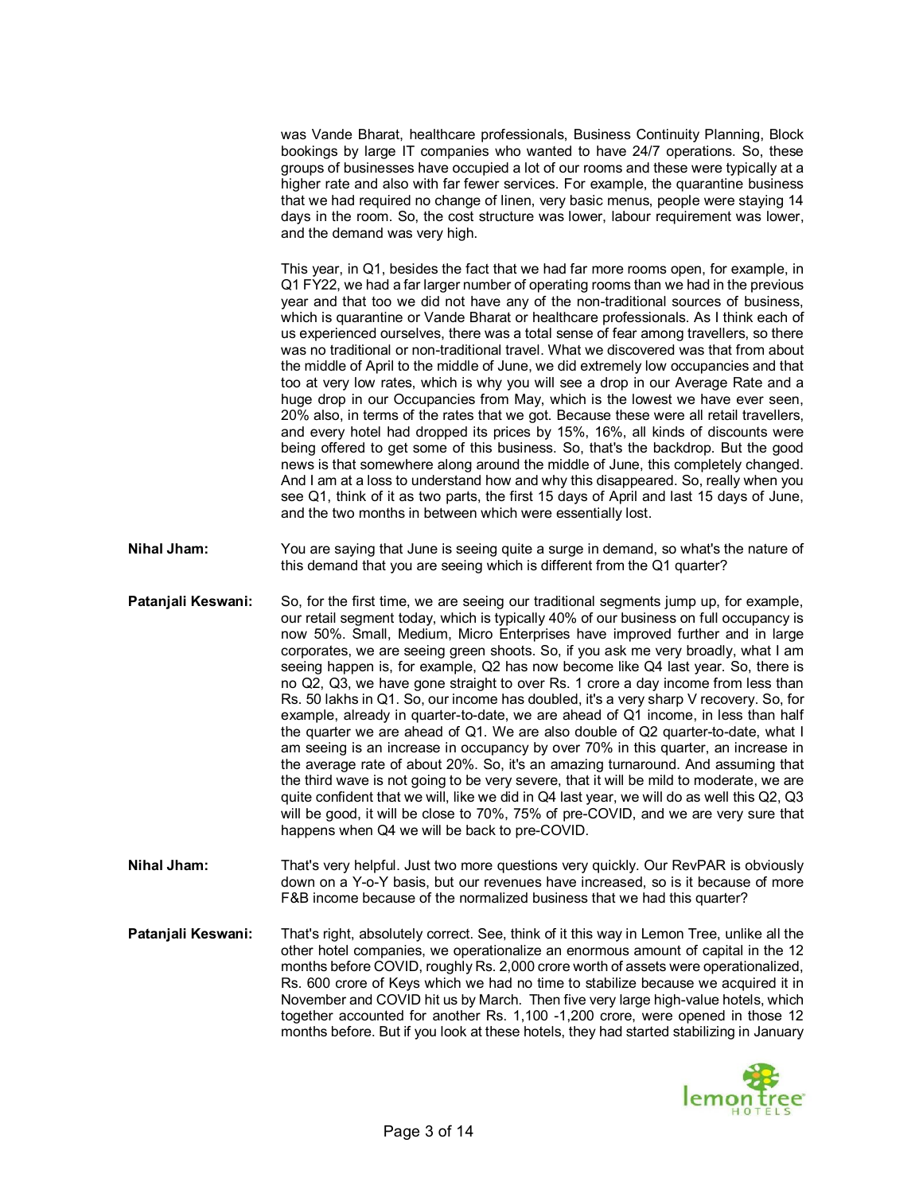was Vande Bharat, healthcare professionals, Business Continuity Planning, Block bookings by large IT companies who wanted to have 24/7 operations. So, these groups of businesses have occupied a lot of our rooms and these were typically at a higher rate and also with far fewer services. For example, the quarantine business that we had required no change of linen, very basic menus, people were staying 14 days in the room. So, the cost structure was lower, labour requirement was lower, and the demand was very high.

This year, in Q1, besides the fact that we had far more rooms open, for example, in Q1 FY22, we had a far larger number of operating rooms than we had in the previous year and that too we did not have any of the non-traditional sources of business, which is quarantine or Vande Bharat or healthcare professionals. As I think each of us experienced ourselves, there was a total sense of fear among travellers, so there was no traditional or non-traditional travel. What we discovered was that from about the middle of April to the middle of June, we did extremely low occupancies and that too at very low rates, which is why you will see a drop in our Average Rate and a huge drop in our Occupancies from May, which is the lowest we have ever seen, 20% also, in terms of the rates that we got. Because these were all retail travellers, and every hotel had dropped its prices by 15%, 16%, all kinds of discounts were being offered to get some of this business. So, that's the backdrop. But the good news is that somewhere along around the middle of June, this completely changed. And I am at a loss to understand how and why this disappeared. So, really when you see Q1, think of it as two parts, the first 15 days of April and last 15 days of June, and the two months in between which were essentially lost.

- **Nihal Jham:** You are saying that June is seeing quite a surge in demand, so what's the nature of this demand that you are seeing which is different from the Q1 quarter?
- **Patanjali Keswani:** So, for the first time, we are seeing our traditional segments jump up, for example, our retail segment today, which is typically 40% of our business on full occupancy is now 50%. Small, Medium, Micro Enterprises have improved further and in large corporates, we are seeing green shoots. So, if you ask me very broadly, what I am seeing happen is, for example, Q2 has now become like Q4 last year. So, there is no Q2, Q3, we have gone straight to over Rs. 1 crore a day income from less than Rs. 50 lakhs in Q1. So, our income has doubled, it's a very sharp V recovery. So, for example, already in quarter-to-date, we are ahead of Q1 income, in less than half the quarter we are ahead of Q1. We are also double of Q2 quarter-to-date, what I am seeing is an increase in occupancy by over 70% in this quarter, an increase in the average rate of about 20%. So, it's an amazing turnaround. And assuming that the third wave is not going to be very severe, that it will be mild to moderate, we are quite confident that we will, like we did in Q4 last year, we will do as well this Q2, Q3 will be good, it will be close to 70%, 75% of pre-COVID, and we are very sure that happens when Q4 we will be back to pre-COVID.
- **Nihal Jham:** That's very helpful. Just two more questions very quickly. Our RevPAR is obviously down on a Y-o-Y basis, but our revenues have increased, so is it because of more F&B income because of the normalized business that we had this quarter?
- **Patanjali Keswani:** That's right, absolutely correct. See, think of it this way in Lemon Tree, unlike all the other hotel companies, we operationalize an enormous amount of capital in the 12 months before COVID, roughly Rs. 2,000 crore worth of assets were operationalized, Rs. 600 crore of Keys which we had no time to stabilize because we acquired it in November and COVID hit us by March. Then five very large high-value hotels, which together accounted for another Rs. 1,100 -1,200 crore, were opened in those 12 months before. But if you look at these hotels, they had started stabilizing in January

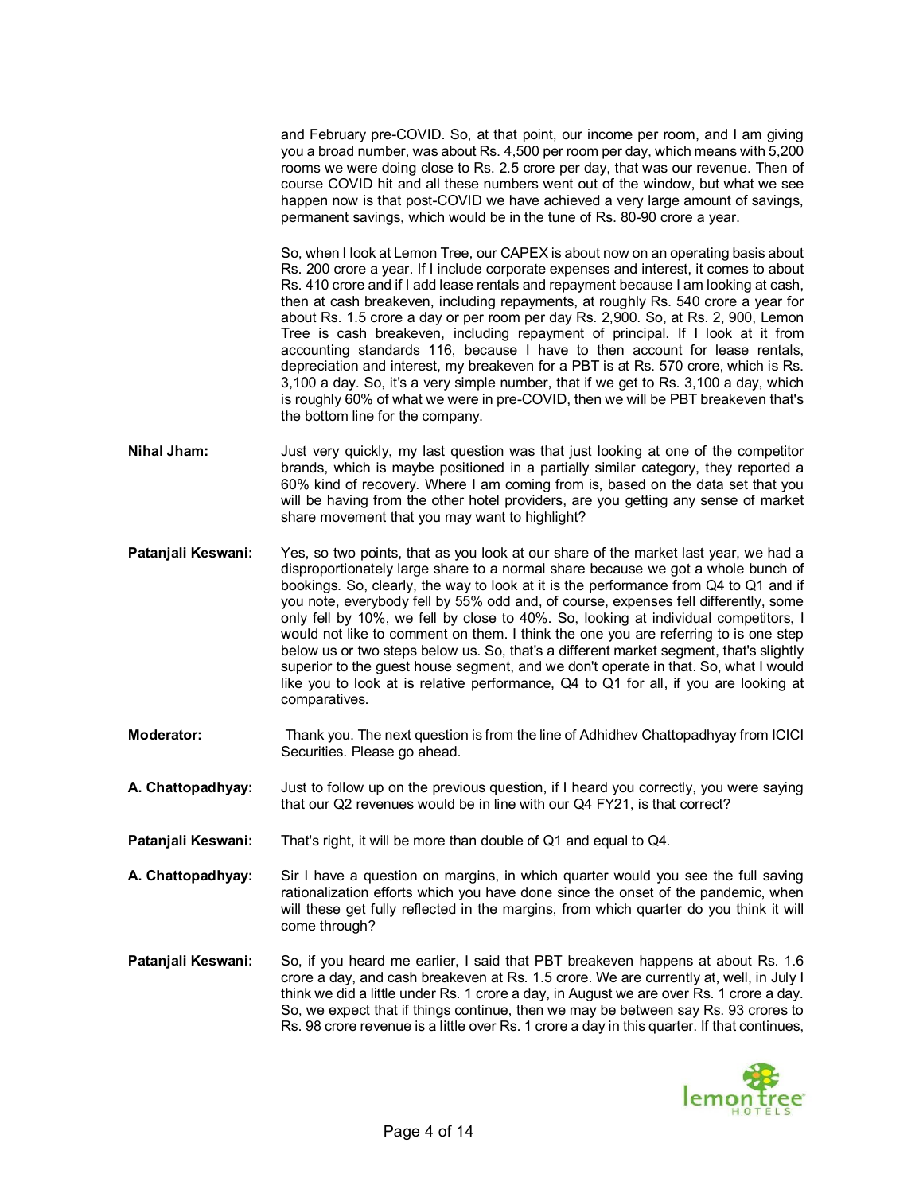and February pre-COVID. So, at that point, our income per room, and I am giving you a broad number, was about Rs. 4,500 per room per day, which means with 5,200 rooms we were doing close to Rs. 2.5 crore per day, that was our revenue. Then of course COVID hit and all these numbers went out of the window, but what we see happen now is that post-COVID we have achieved a very large amount of savings, permanent savings, which would be in the tune of Rs. 80-90 crore a year.

So, when I look at Lemon Tree, our CAPEX is about now on an operating basis about Rs. 200 crore a year. If I include corporate expenses and interest, it comes to about Rs. 410 crore and if I add lease rentals and repayment because I am looking at cash, then at cash breakeven, including repayments, at roughly Rs. 540 crore a year for about Rs. 1.5 crore a day or per room per day Rs. 2,900. So, at Rs. 2, 900, Lemon Tree is cash breakeven, including repayment of principal. If I look at it from accounting standards 116, because I have to then account for lease rentals, depreciation and interest, my breakeven for a PBT is at Rs. 570 crore, which is Rs. 3,100 a day. So, it's a very simple number, that if we get to Rs. 3,100 a day, which is roughly 60% of what we were in pre-COVID, then we will be PBT breakeven that's the bottom line for the company.

- **Nihal Jham:** Just very quickly, my last question was that just looking at one of the competitor brands, which is maybe positioned in a partially similar category, they reported a 60% kind of recovery. Where I am coming from is, based on the data set that you will be having from the other hotel providers, are you getting any sense of market share movement that you may want to highlight?
- **Patanjali Keswani:** Yes, so two points, that as you look at our share of the market last year, we had a disproportionately large share to a normal share because we got a whole bunch of bookings. So, clearly, the way to look at it is the performance from Q4 to Q1 and if you note, everybody fell by 55% odd and, of course, expenses fell differently, some only fell by 10%, we fell by close to 40%. So, looking at individual competitors, I would not like to comment on them. I think the one you are referring to is one step below us or two steps below us. So, that's a different market segment, that's slightly superior to the guest house segment, and we don't operate in that. So, what I would like you to look at is relative performance, Q4 to Q1 for all, if you are looking at comparatives.
- **Moderator:** Thank you. The next question is from the line of Adhidhev Chattopadhyay from ICICI Securities. Please go ahead.
- **A. Chattopadhyay:** Just to follow up on the previous question, if I heard you correctly, you were saying that our Q2 revenues would be in line with our Q4 FY21, is that correct?
- **Patanjali Keswani:** That's right, it will be more than double of Q1 and equal to Q4.
- **A. Chattopadhyay:** Sir I have a question on margins, in which quarter would you see the full saving rationalization efforts which you have done since the onset of the pandemic, when will these get fully reflected in the margins, from which quarter do you think it will come through?
- **Patanjali Keswani:** So, if you heard me earlier, I said that PBT breakeven happens at about Rs. 1.6 crore a day, and cash breakeven at Rs. 1.5 crore. We are currently at, well, in July I think we did a little under Rs. 1 crore a day, in August we are over Rs. 1 crore a day. So, we expect that if things continue, then we may be between say Rs. 93 crores to Rs. 98 crore revenue is a little over Rs. 1 crore a day in this quarter. If that continues,

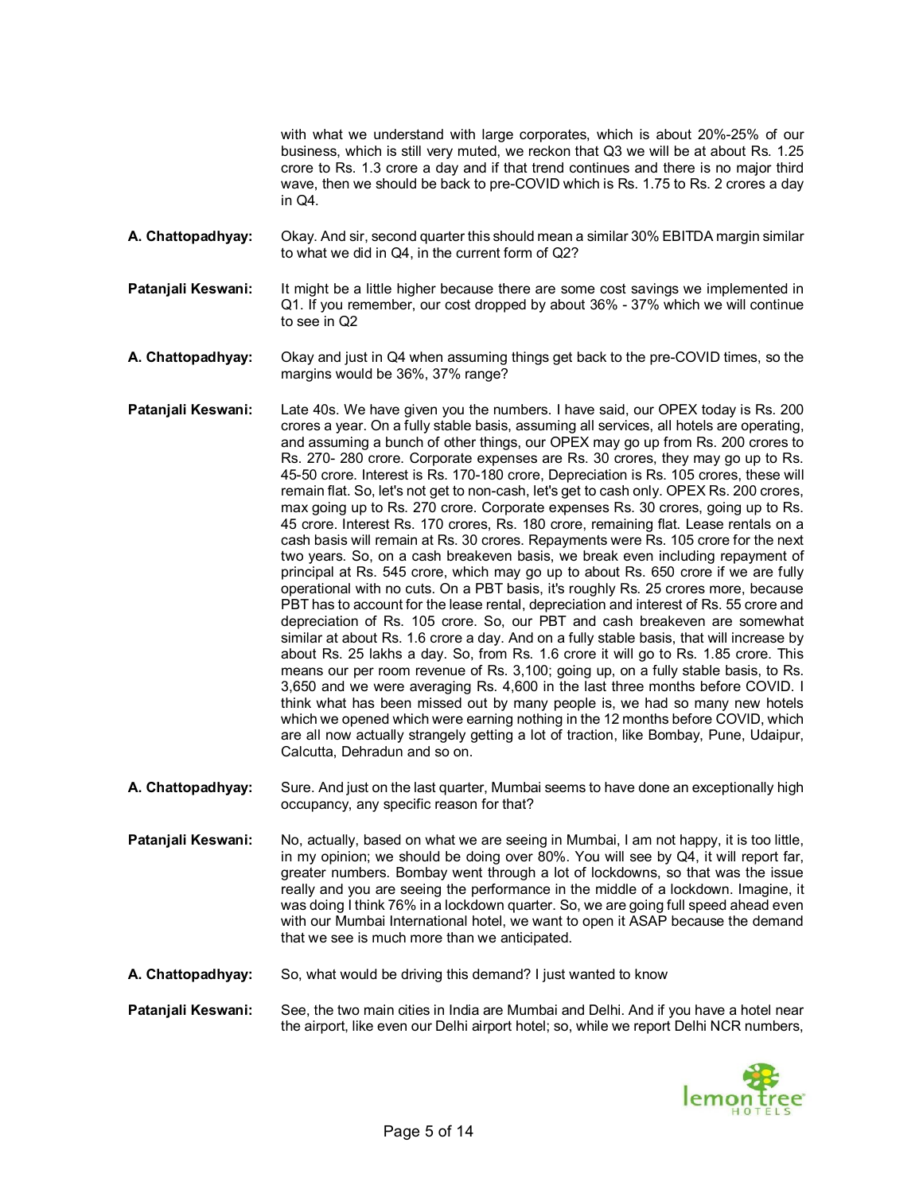with what we understand with large corporates, which is about 20%-25% of our business, which is still very muted, we reckon that Q3 we will be at about Rs. 1.25 crore to Rs. 1.3 crore a day and if that trend continues and there is no major third wave, then we should be back to pre-COVID which is Rs. 1.75 to Rs. 2 crores a day in Q4.

- **A. Chattopadhyay:** Okay. And sir, second quarter this should mean a similar 30% EBITDA margin similar to what we did in Q4, in the current form of Q2?
- **Patanjali Keswani:** It might be a little higher because there are some cost savings we implemented in Q1. If you remember, our cost dropped by about 36% - 37% which we will continue to see in Q2
- **A. Chattopadhyay:** Okay and just in Q4 when assuming things get back to the pre-COVID times, so the margins would be 36%, 37% range?
- **Patanjali Keswani:** Late 40s. We have given you the numbers. I have said, our OPEX today is Rs. 200 crores a year. On a fully stable basis, assuming all services, all hotels are operating, and assuming a bunch of other things, our OPEX may go up from Rs. 200 crores to Rs. 270- 280 crore. Corporate expenses are Rs. 30 crores, they may go up to Rs. 45-50 crore. Interest is Rs. 170-180 crore, Depreciation is Rs. 105 crores, these will remain flat. So, let's not get to non-cash, let's get to cash only. OPEX Rs. 200 crores, max going up to Rs. 270 crore. Corporate expenses Rs. 30 crores, going up to Rs. 45 crore. Interest Rs. 170 crores, Rs. 180 crore, remaining flat. Lease rentals on a cash basis will remain at Rs. 30 crores. Repayments were Rs. 105 crore for the next two years. So, on a cash breakeven basis, we break even including repayment of principal at Rs. 545 crore, which may go up to about Rs. 650 crore if we are fully operational with no cuts. On a PBT basis, it's roughly Rs. 25 crores more, because PBT has to account for the lease rental, depreciation and interest of Rs. 55 crore and depreciation of Rs. 105 crore. So, our PBT and cash breakeven are somewhat similar at about Rs. 1.6 crore a day. And on a fully stable basis, that will increase by about Rs. 25 lakhs a day. So, from Rs. 1.6 crore it will go to Rs. 1.85 crore. This means our per room revenue of Rs. 3,100; going up, on a fully stable basis, to Rs. 3,650 and we were averaging Rs. 4,600 in the last three months before COVID. I think what has been missed out by many people is, we had so many new hotels which we opened which were earning nothing in the 12 months before COVID, which are all now actually strangely getting a lot of traction, like Bombay, Pune, Udaipur, Calcutta, Dehradun and so on.
- **A. Chattopadhyay:** Sure. And just on the last quarter, Mumbai seems to have done an exceptionally high occupancy, any specific reason for that?
- **Patanjali Keswani:** No, actually, based on what we are seeing in Mumbai, I am not happy, it is too little, in my opinion; we should be doing over 80%. You will see by Q4, it will report far, greater numbers. Bombay went through a lot of lockdowns, so that was the issue really and you are seeing the performance in the middle of a lockdown. Imagine, it was doing I think 76% in a lockdown quarter. So, we are going full speed ahead even with our Mumbai International hotel, we want to open it ASAP because the demand that we see is much more than we anticipated.
- **A. Chattopadhyay:** So, what would be driving this demand? I just wanted to know

**Patanjali Keswani:** See, the two main cities in India are Mumbai and Delhi. And if you have a hotel near the airport, like even our Delhi airport hotel; so, while we report Delhi NCR numbers,

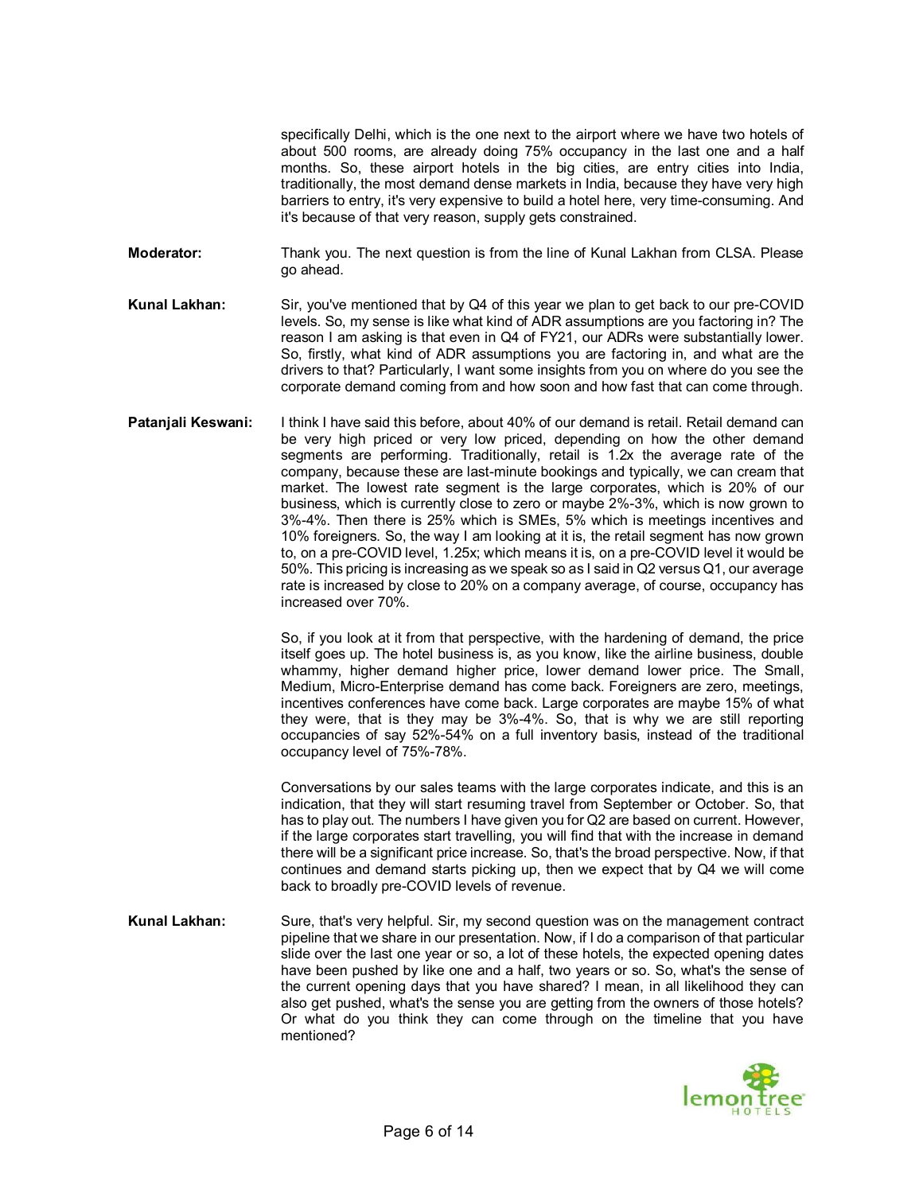specifically Delhi, which is the one next to the airport where we have two hotels of about 500 rooms, are already doing 75% occupancy in the last one and a half months. So, these airport hotels in the big cities, are entry cities into India, traditionally, the most demand dense markets in India, because they have very high barriers to entry, it's very expensive to build a hotel here, very time-consuming. And it's because of that very reason, supply gets constrained.

**Moderator:** Thank you. The next question is from the line of Kunal Lakhan from CLSA. Please go ahead.

**Kunal Lakhan:** Sir, you've mentioned that by Q4 of this year we plan to get back to our pre-COVID levels. So, my sense is like what kind of ADR assumptions are you factoring in? The reason I am asking is that even in Q4 of FY21, our ADRs were substantially lower. So, firstly, what kind of ADR assumptions you are factoring in, and what are the drivers to that? Particularly, I want some insights from you on where do you see the corporate demand coming from and how soon and how fast that can come through.

**Patanjali Keswani:** I think I have said this before, about 40% of our demand is retail. Retail demand can be very high priced or very low priced, depending on how the other demand segments are performing. Traditionally, retail is 1.2x the average rate of the company, because these are last-minute bookings and typically, we can cream that market. The lowest rate segment is the large corporates, which is 20% of our business, which is currently close to zero or maybe 2%-3%, which is now grown to 3%-4%. Then there is 25% which is SMEs, 5% which is meetings incentives and 10% foreigners. So, the way I am looking at it is, the retail segment has now grown to, on a pre-COVID level, 1.25x; which means it is, on a pre-COVID level it would be 50%. This pricing is increasing as we speak so as I said in Q2 versus Q1, our average rate is increased by close to 20% on a company average, of course, occupancy has increased over 70%.

> So, if you look at it from that perspective, with the hardening of demand, the price itself goes up. The hotel business is, as you know, like the airline business, double whammy, higher demand higher price, lower demand lower price. The Small, Medium, Micro-Enterprise demand has come back. Foreigners are zero, meetings, incentives conferences have come back. Large corporates are maybe 15% of what they were, that is they may be 3%-4%. So, that is why we are still reporting occupancies of say 52%-54% on a full inventory basis, instead of the traditional occupancy level of 75%-78%.

> Conversations by our sales teams with the large corporates indicate, and this is an indication, that they will start resuming travel from September or October. So, that has to play out. The numbers I have given you for Q2 are based on current. However, if the large corporates start travelling, you will find that with the increase in demand there will be a significant price increase. So, that's the broad perspective. Now, if that continues and demand starts picking up, then we expect that by Q4 we will come back to broadly pre-COVID levels of revenue.

**Kunal Lakhan:** Sure, that's very helpful. Sir, my second question was on the management contract pipeline that we share in our presentation. Now, if I do a comparison of that particular slide over the last one year or so, a lot of these hotels, the expected opening dates have been pushed by like one and a half, two years or so. So, what's the sense of the current opening days that you have shared? I mean, in all likelihood they can also get pushed, what's the sense you are getting from the owners of those hotels? Or what do you think they can come through on the timeline that you have mentioned?

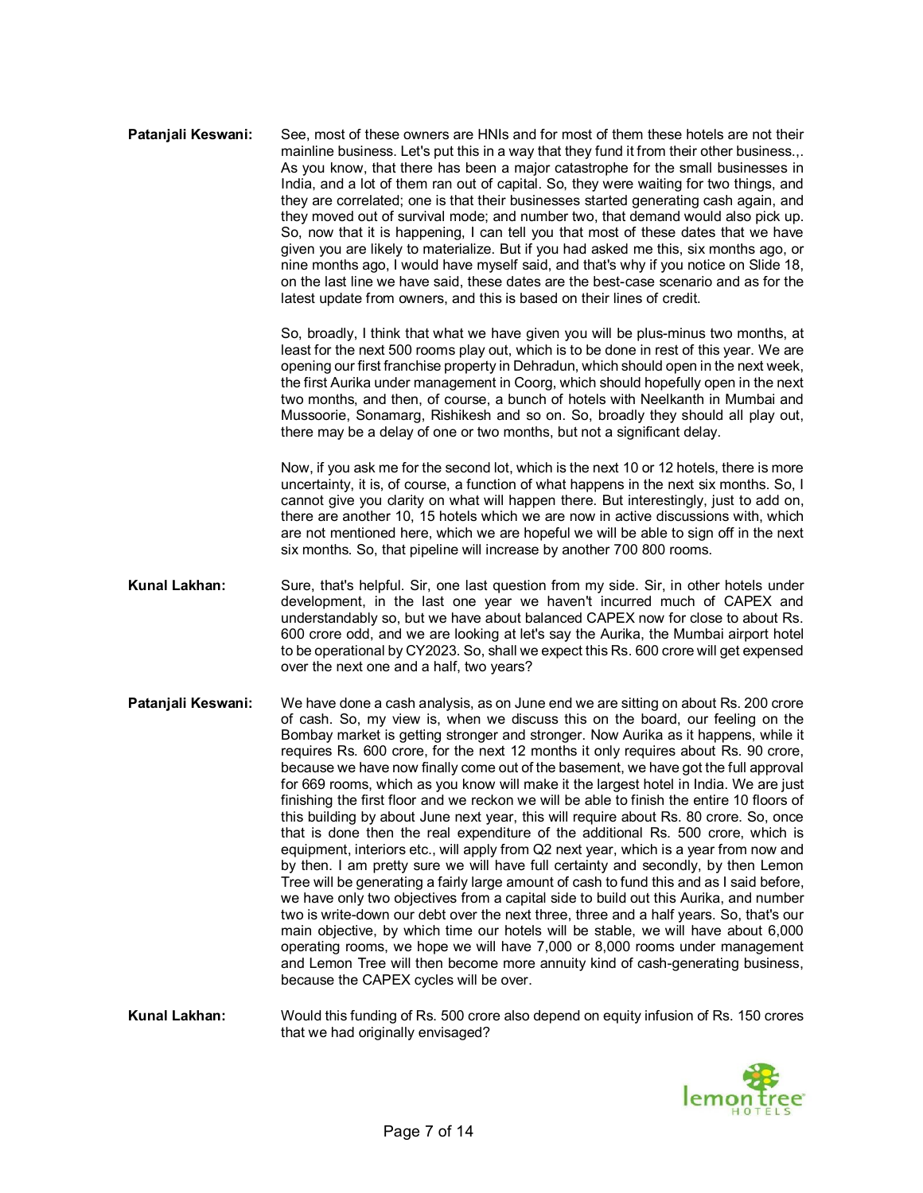**Pataniali Keswani:** See, most of these owners are HNIs and for most of them these hotels are not their mainline business. Let's put this in a way that they fund it from their other business.,. As you know, that there has been a major catastrophe for the small businesses in India, and a lot of them ran out of capital. So, they were waiting for two things, and they are correlated; one is that their businesses started generating cash again, and they moved out of survival mode; and number two, that demand would also pick up. So, now that it is happening, I can tell you that most of these dates that we have given you are likely to materialize. But if you had asked me this, six months ago, or nine months ago, I would have myself said, and that's why if you notice on Slide 18, on the last line we have said, these dates are the best-case scenario and as for the latest update from owners, and this is based on their lines of credit.

> So, broadly, I think that what we have given you will be plus-minus two months, at least for the next 500 rooms play out, which is to be done in rest of this year. We are opening our first franchise property in Dehradun, which should open in the next week, the first Aurika under management in Coorg, which should hopefully open in the next two months, and then, of course, a bunch of hotels with Neelkanth in Mumbai and Mussoorie, Sonamarg, Rishikesh and so on. So, broadly they should all play out, there may be a delay of one or two months, but not a significant delay.

> Now, if you ask me for the second lot, which is the next 10 or 12 hotels, there is more uncertainty, it is, of course, a function of what happens in the next six months. So, I cannot give you clarity on what will happen there. But interestingly, just to add on, there are another 10, 15 hotels which we are now in active discussions with, which are not mentioned here, which we are hopeful we will be able to sign off in the next six months. So, that pipeline will increase by another 700 800 rooms.

- **Kunal Lakhan:** Sure, that's helpful. Sir, one last question from my side. Sir, in other hotels under development, in the last one year we haven't incurred much of CAPEX and understandably so, but we have about balanced CAPEX now for close to about Rs. 600 crore odd, and we are looking at let's say the Aurika, the Mumbai airport hotel to be operational by CY2023. So, shall we expect this Rs. 600 crore will get expensed over the next one and a half, two years?
- **Patanjali Keswani:** We have done a cash analysis, as on June end we are sitting on about Rs. 200 crore of cash. So, my view is, when we discuss this on the board, our feeling on the Bombay market is getting stronger and stronger. Now Aurika as it happens, while it requires Rs. 600 crore, for the next 12 months it only requires about Rs. 90 crore, because we have now finally come out of the basement, we have got the full approval for 669 rooms, which as you know will make it the largest hotel in India. We are just finishing the first floor and we reckon we will be able to finish the entire 10 floors of this building by about June next year, this will require about Rs. 80 crore. So, once that is done then the real expenditure of the additional Rs. 500 crore, which is equipment, interiors etc., will apply from Q2 next year, which is a year from now and by then. I am pretty sure we will have full certainty and secondly, by then Lemon Tree will be generating a fairly large amount of cash to fund this and as I said before, we have only two objectives from a capital side to build out this Aurika, and number two is write-down our debt over the next three, three and a half years. So, that's our main objective, by which time our hotels will be stable, we will have about 6,000 operating rooms, we hope we will have 7,000 or 8,000 rooms under management and Lemon Tree will then become more annuity kind of cash-generating business, because the CAPEX cycles will be over.

**Kunal Lakhan:** Would this funding of Rs. 500 crore also depend on equity infusion of Rs. 150 crores that we had originally envisaged?

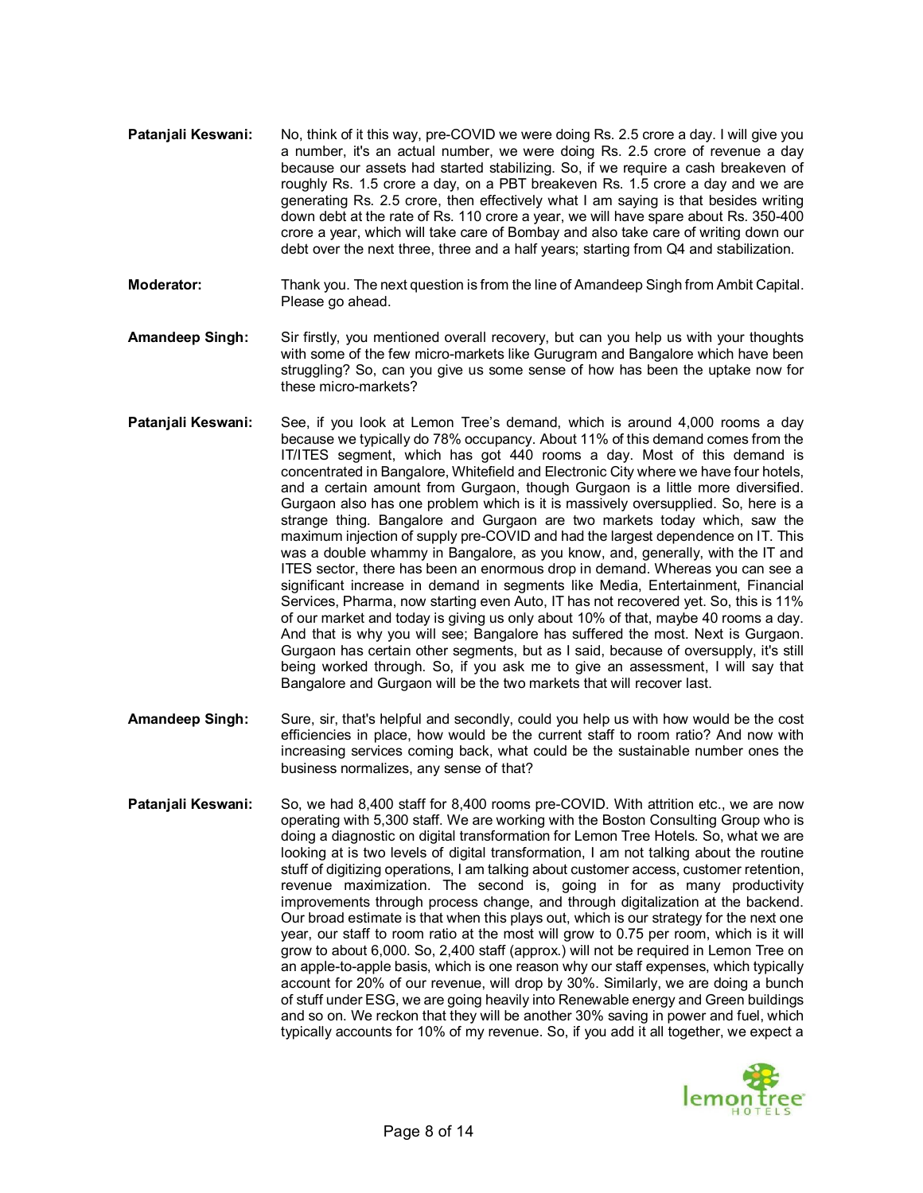- **Pataniali Keswani:** No, think of it this way, pre-COVID we were doing Rs, 2.5 crore a day. I will give you a number, it's an actual number, we were doing Rs. 2.5 crore of revenue a day because our assets had started stabilizing. So, if we require a cash breakeven of roughly Rs. 1.5 crore a day, on a PBT breakeven Rs. 1.5 crore a day and we are generating Rs. 2.5 crore, then effectively what I am saying is that besides writing down debt at the rate of Rs. 110 crore a year, we will have spare about Rs. 350-400 crore a year, which will take care of Bombay and also take care of writing down our debt over the next three, three and a half years; starting from Q4 and stabilization.
- **Moderator:** Thank you. The next question is from the line of Amandeep Singh from Ambit Capital. Please go ahead.
- **Amandeep Singh:** Sir firstly, you mentioned overall recovery, but can you help us with your thoughts with some of the few micro-markets like Gurugram and Bangalore which have been struggling? So, can you give us some sense of how has been the uptake now for these micro-markets?
- **Patanjali Keswani:** See, if you look at Lemon Tree's demand, which is around 4,000 rooms a day because we typically do 78% occupancy. About 11% of this demand comes from the IT/ITES segment, which has got 440 rooms a day. Most of this demand is concentrated in Bangalore, Whitefield and Electronic City where we have four hotels, and a certain amount from Gurgaon, though Gurgaon is a little more diversified. Gurgaon also has one problem which is it is massively oversupplied. So, here is a strange thing. Bangalore and Gurgaon are two markets today which, saw the maximum injection of supply pre-COVID and had the largest dependence on IT. This was a double whammy in Bangalore, as you know, and, generally, with the IT and ITES sector, there has been an enormous drop in demand. Whereas you can see a significant increase in demand in segments like Media, Entertainment, Financial Services, Pharma, now starting even Auto, IT has not recovered yet. So, this is 11% of our market and today is giving us only about 10% of that, maybe 40 rooms a day. And that is why you will see; Bangalore has suffered the most. Next is Gurgaon. Gurgaon has certain other segments, but as I said, because of oversupply, it's still being worked through. So, if you ask me to give an assessment, I will say that Bangalore and Gurgaon will be the two markets that will recover last.
- **Amandeep Singh:** Sure, sir, that's helpful and secondly, could you help us with how would be the cost efficiencies in place, how would be the current staff to room ratio? And now with increasing services coming back, what could be the sustainable number ones the business normalizes, any sense of that?
- Patanjali Keswani: So, we had 8,400 staff for 8,400 rooms pre-COVID. With attrition etc., we are now operating with 5,300 staff. We are working with the Boston Consulting Group who is doing a diagnostic on digital transformation for Lemon Tree Hotels. So, what we are looking at is two levels of digital transformation, I am not talking about the routine stuff of digitizing operations, I am talking about customer access, customer retention, revenue maximization. The second is, going in for as many productivity improvements through process change, and through digitalization at the backend. Our broad estimate is that when this plays out, which is our strategy for the next one year, our staff to room ratio at the most will grow to 0.75 per room, which is it will grow to about 6,000. So, 2,400 staff (approx.) will not be required in Lemon Tree on an apple-to-apple basis, which is one reason why our staff expenses, which typically account for 20% of our revenue, will drop by 30%. Similarly, we are doing a bunch of stuff under ESG, we are going heavily into Renewable energy and Green buildings and so on. We reckon that they will be another 30% saving in power and fuel, which typically accounts for 10% of my revenue. So, if you add it all together, we expect a

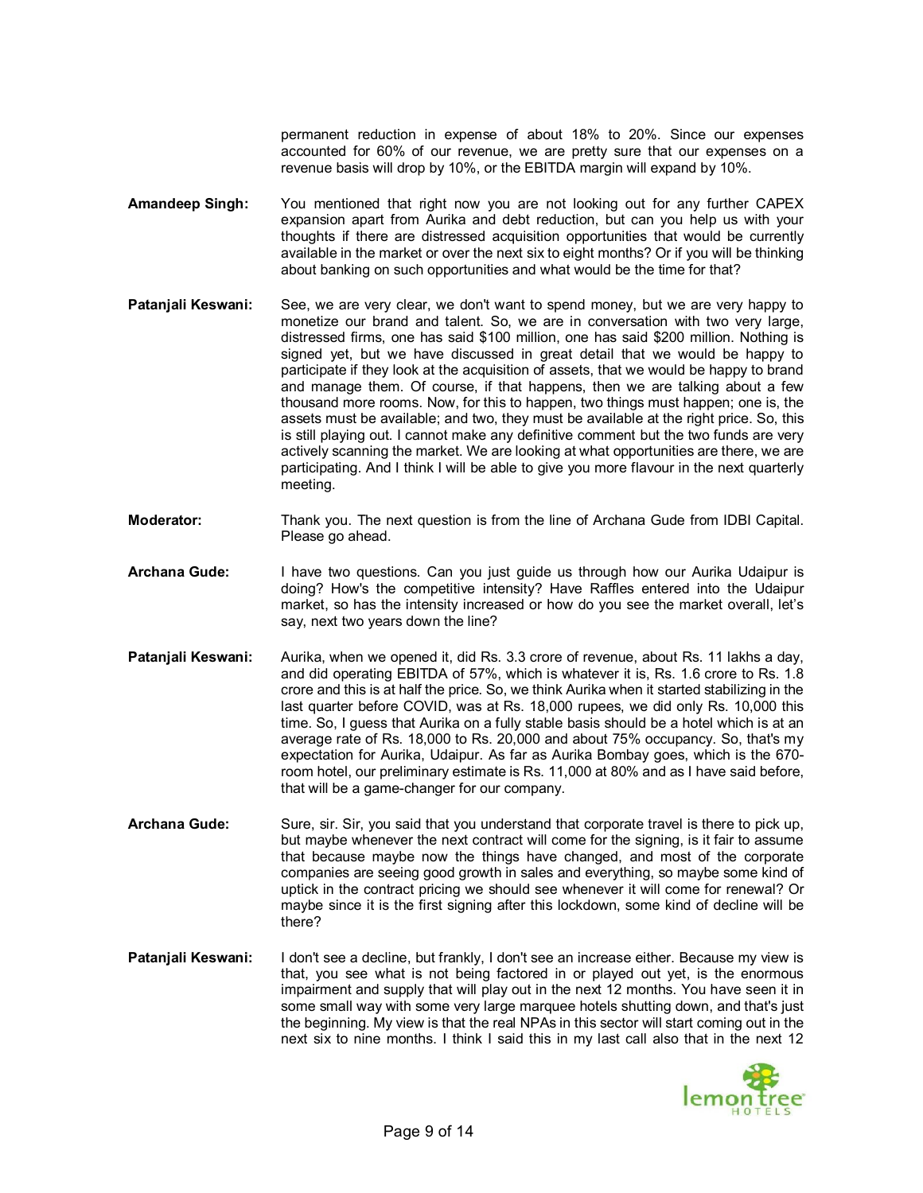permanent reduction in expense of about 18% to 20%. Since our expenses accounted for 60% of our revenue, we are pretty sure that our expenses on a revenue basis will drop by 10%, or the EBITDA margin will expand by 10%.

- **Amandeep Singh:** You mentioned that right now you are not looking out for any further CAPEX expansion apart from Aurika and debt reduction, but can you help us with your thoughts if there are distressed acquisition opportunities that would be currently available in the market or over the next six to eight months? Or if you will be thinking about banking on such opportunities and what would be the time for that?
- **Patanjali Keswani:** See, we are very clear, we don't want to spend money, but we are very happy to monetize our brand and talent. So, we are in conversation with two very large, distressed firms, one has said \$100 million, one has said \$200 million. Nothing is signed yet, but we have discussed in great detail that we would be happy to participate if they look at the acquisition of assets, that we would be happy to brand and manage them. Of course, if that happens, then we are talking about a few thousand more rooms. Now, for this to happen, two things must happen; one is, the assets must be available; and two, they must be available at the right price. So, this is still playing out. I cannot make any definitive comment but the two funds are very actively scanning the market. We are looking at what opportunities are there, we are participating. And I think I will be able to give you more flavour in the next quarterly meeting.
- **Moderator:** Thank you. The next question is from the line of Archana Gude from IDBI Capital. Please go ahead.
- **Archana Gude:** I have two questions. Can you just guide us through how our Aurika Udaipur is doing? How's the competitive intensity? Have Raffles entered into the Udaipur market, so has the intensity increased or how do you see the market overall, let's say, next two years down the line?
- **Patanjali Keswani:** Aurika, when we opened it, did Rs. 3.3 crore of revenue, about Rs. 11 lakhs a day, and did operating EBITDA of 57%, which is whatever it is, Rs. 1.6 crore to Rs. 1.8 crore and this is at half the price. So, we think Aurika when it started stabilizing in the last quarter before COVID, was at Rs. 18,000 rupees, we did only Rs. 10,000 this time. So, I guess that Aurika on a fully stable basis should be a hotel which is at an average rate of Rs. 18,000 to Rs. 20,000 and about 75% occupancy. So, that's my expectation for Aurika, Udaipur. As far as Aurika Bombay goes, which is the 670 room hotel, our preliminary estimate is Rs. 11,000 at 80% and as I have said before, that will be a game-changer for our company.
- **Archana Gude:** Sure, sir. Sir, you said that you understand that corporate travel is there to pick up, but maybe whenever the next contract will come for the signing, is it fair to assume that because maybe now the things have changed, and most of the corporate companies are seeing good growth in sales and everything, so maybe some kind of uptick in the contract pricing we should see whenever it will come for renewal? Or maybe since it is the first signing after this lockdown, some kind of decline will be there?
- **Patanjali Keswani:** I don't see a decline, but frankly, I don't see an increase either. Because my view is that, you see what is not being factored in or played out yet, is the enormous impairment and supply that will play out in the next 12 months. You have seen it in some small way with some very large marquee hotels shutting down, and that's just the beginning. My view is that the real NPAs in this sector will start coming out in the next six to nine months. I think I said this in my last call also that in the next 12

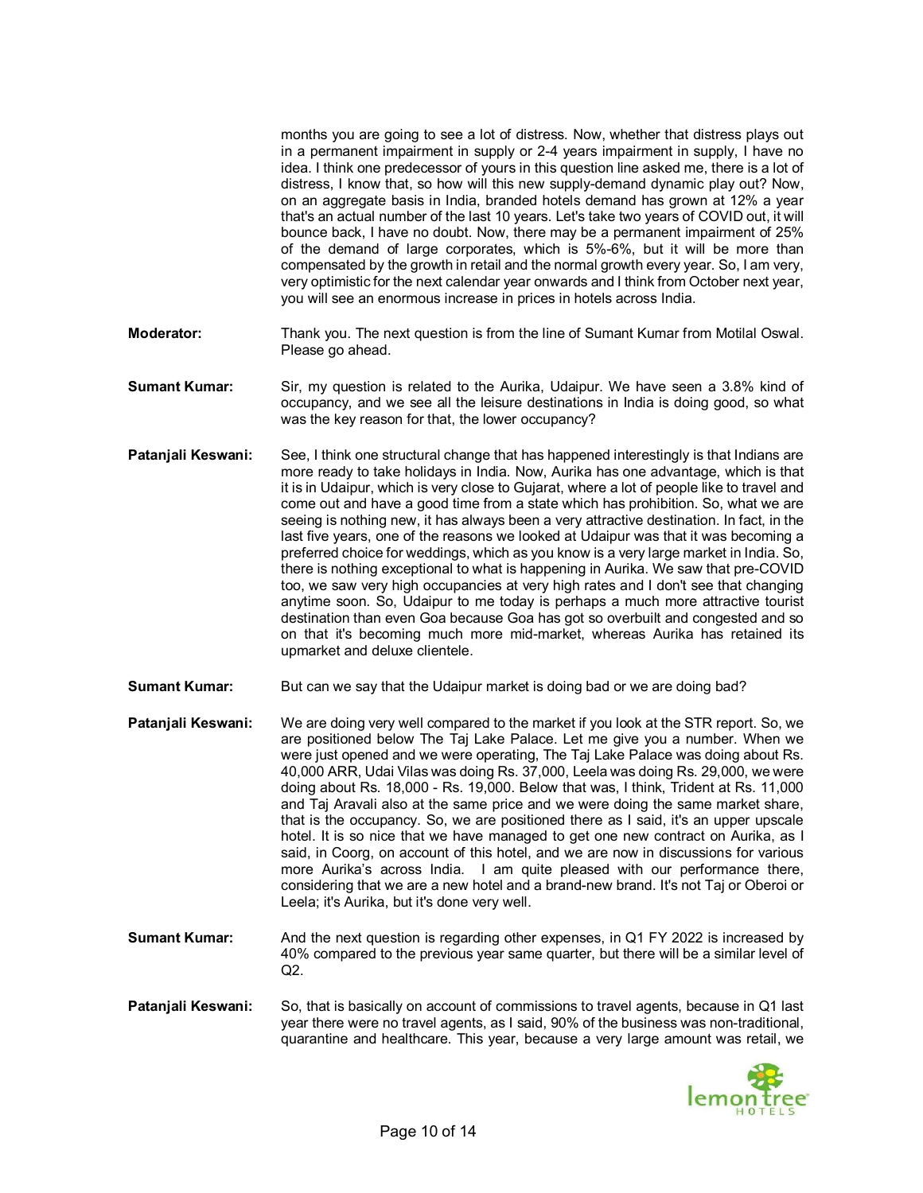months you are going to see a lot of distress. Now, whether that distress plays out in a permanent impairment in supply or 2-4 years impairment in supply, I have no idea. I think one predecessor of yours in this question line asked me, there is a lot of distress, I know that, so how will this new supply-demand dynamic play out? Now, on an aggregate basis in India, branded hotels demand has grown at 12% a year that's an actual number of the last 10 years. Let's take two years of COVID out, it will bounce back, I have no doubt. Now, there may be a permanent impairment of 25% of the demand of large corporates, which is 5%-6%, but it will be more than compensated by the growth in retail and the normal growth every year. So, I am very, very optimistic for the next calendar year onwards and I think from October next year, you will see an enormous increase in prices in hotels across India.

- **Moderator:** Thank you. The next question is from the line of Sumant Kumar from Motilal Oswal. Please go ahead.
- **Sumant Kumar:** Sir, my question is related to the Aurika, Udaipur. We have seen a 3.8% kind of occupancy, and we see all the leisure destinations in India is doing good, so what was the key reason for that, the lower occupancy?
- **Patanjali Keswani:** See, I think one structural change that has happened interestingly is that Indians are more ready to take holidays in India. Now, Aurika has one advantage, which is that it is in Udaipur, which is very close to Gujarat, where a lot of people like to travel and come out and have a good time from a state which has prohibition. So, what we are seeing is nothing new, it has always been a very attractive destination. In fact, in the last five years, one of the reasons we looked at Udaipur was that it was becoming a preferred choice for weddings, which as you know is a very large market in India. So, there is nothing exceptional to what is happening in Aurika. We saw that pre-COVID too, we saw very high occupancies at very high rates and I don't see that changing anytime soon. So, Udaipur to me today is perhaps a much more attractive tourist destination than even Goa because Goa has got so overbuilt and congested and so on that it's becoming much more mid-market, whereas Aurika has retained its upmarket and deluxe clientele.
- **Sumant Kumar:** But can we say that the Udaipur market is doing bad or we are doing bad?
- **Patanjali Keswani:** We are doing very well compared to the market if you look at the STR report. So, we are positioned below The Taj Lake Palace. Let me give you a number. When we were just opened and we were operating, The Taj Lake Palace was doing about Rs. 40,000 ARR, Udai Vilas was doing Rs. 37,000, Leela was doing Rs. 29,000, we were doing about Rs. 18,000 - Rs. 19,000. Below that was, I think, Trident at Rs. 11,000 and Taj Aravali also at the same price and we were doing the same market share, that is the occupancy. So, we are positioned there as I said, it's an upper upscale hotel. It is so nice that we have managed to get one new contract on Aurika, as I said, in Coorg, on account of this hotel, and we are now in discussions for various more Aurika's across India. I am quite pleased with our performance there, considering that we are a new hotel and a brand-new brand. It's not Taj or Oberoi or Leela; it's Aurika, but it's done very well.
- **Sumant Kumar:** And the next question is regarding other expenses, in Q1 FY 2022 is increased by 40% compared to the previous year same quarter, but there will be a similar level of Q2.
- **Patanjali Keswani:** So, that is basically on account of commissions to travel agents, because in Q1 last year there were no travel agents, as I said, 90% of the business was non-traditional, quarantine and healthcare. This year, because a very large amount was retail, we

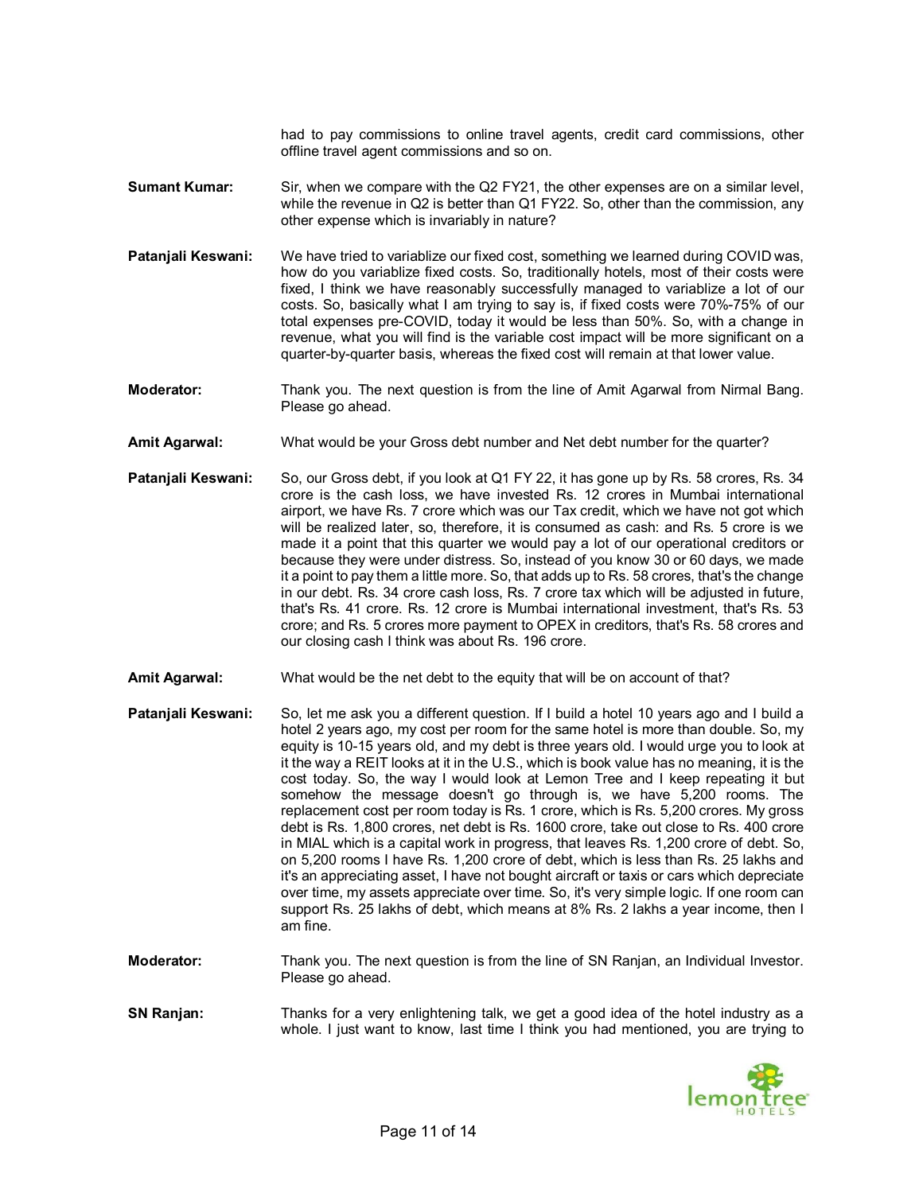had to pay commissions to online travel agents, credit card commissions, other offline travel agent commissions and so on.

- **Sumant Kumar:** Sir, when we compare with the Q2 FY21, the other expenses are on a similar level, while the revenue in Q2 is better than Q1 FY22. So, other than the commission, any other expense which is invariably in nature?
- **Patanjali Keswani:** We have tried to variablize our fixed cost, something we learned during COVID was, how do you variablize fixed costs. So, traditionally hotels, most of their costs were fixed, I think we have reasonably successfully managed to variablize a lot of our costs. So, basically what I am trying to say is, if fixed costs were 70%-75% of our total expenses pre-COVID, today it would be less than 50%. So, with a change in revenue, what you will find is the variable cost impact will be more significant on a quarter-by-quarter basis, whereas the fixed cost will remain at that lower value.
- **Moderator:** Thank you. The next question is from the line of Amit Agarwal from Nirmal Bang. Please go ahead.
- **Amit Agarwal:** What would be your Gross debt number and Net debt number for the quarter?
- **Patanjali Keswani:** So, our Gross debt, if you look at Q1 FY 22, it has gone up by Rs. 58 crores, Rs. 34 crore is the cash loss, we have invested Rs. 12 crores in Mumbai international airport, we have Rs. 7 crore which was our Tax credit, which we have not got which will be realized later, so, therefore, it is consumed as cash: and Rs. 5 crore is we made it a point that this quarter we would pay a lot of our operational creditors or because they were under distress. So, instead of you know 30 or 60 days, we made it a point to pay them a little more. So, that adds up to Rs. 58 crores, that's the change in our debt. Rs. 34 crore cash loss, Rs. 7 crore tax which will be adjusted in future, that's Rs. 41 crore. Rs. 12 crore is Mumbai international investment, that's Rs. 53 crore; and Rs. 5 crores more payment to OPEX in creditors, that's Rs. 58 crores and our closing cash I think was about Rs. 196 crore.
- **Amit Agarwal:** What would be the net debt to the equity that will be on account of that?

**Patanjali Keswani:** So, let me ask you a different question. If I build a hotel 10 years ago and I build a hotel 2 years ago, my cost per room for the same hotel is more than double. So, my equity is 10-15 years old, and my debt is three years old. I would urge you to look at it the way a REIT looks at it in the U.S., which is book value has no meaning, it is the cost today. So, the way I would look at Lemon Tree and I keep repeating it but somehow the message doesn't go through is, we have 5,200 rooms. The replacement cost per room today is Rs. 1 crore, which is Rs. 5,200 crores. My gross debt is Rs. 1,800 crores, net debt is Rs. 1600 crore, take out close to Rs. 400 crore in MIAL which is a capital work in progress, that leaves Rs. 1,200 crore of debt. So, on 5,200 rooms I have Rs. 1,200 crore of debt, which is less than Rs. 25 lakhs and it's an appreciating asset, I have not bought aircraft or taxis or cars which depreciate over time, my assets appreciate over time. So, it's very simple logic. If one room can support Rs. 25 lakhs of debt, which means at 8% Rs. 2 lakhs a year income, then I am fine.

- **Moderator:** Thank you. The next question is from the line of SN Ranjan, an Individual Investor. Please go ahead.
- **SN Ranjan:** Thanks for a very enlightening talk, we get a good idea of the hotel industry as a whole. I just want to know, last time I think you had mentioned, you are trying to

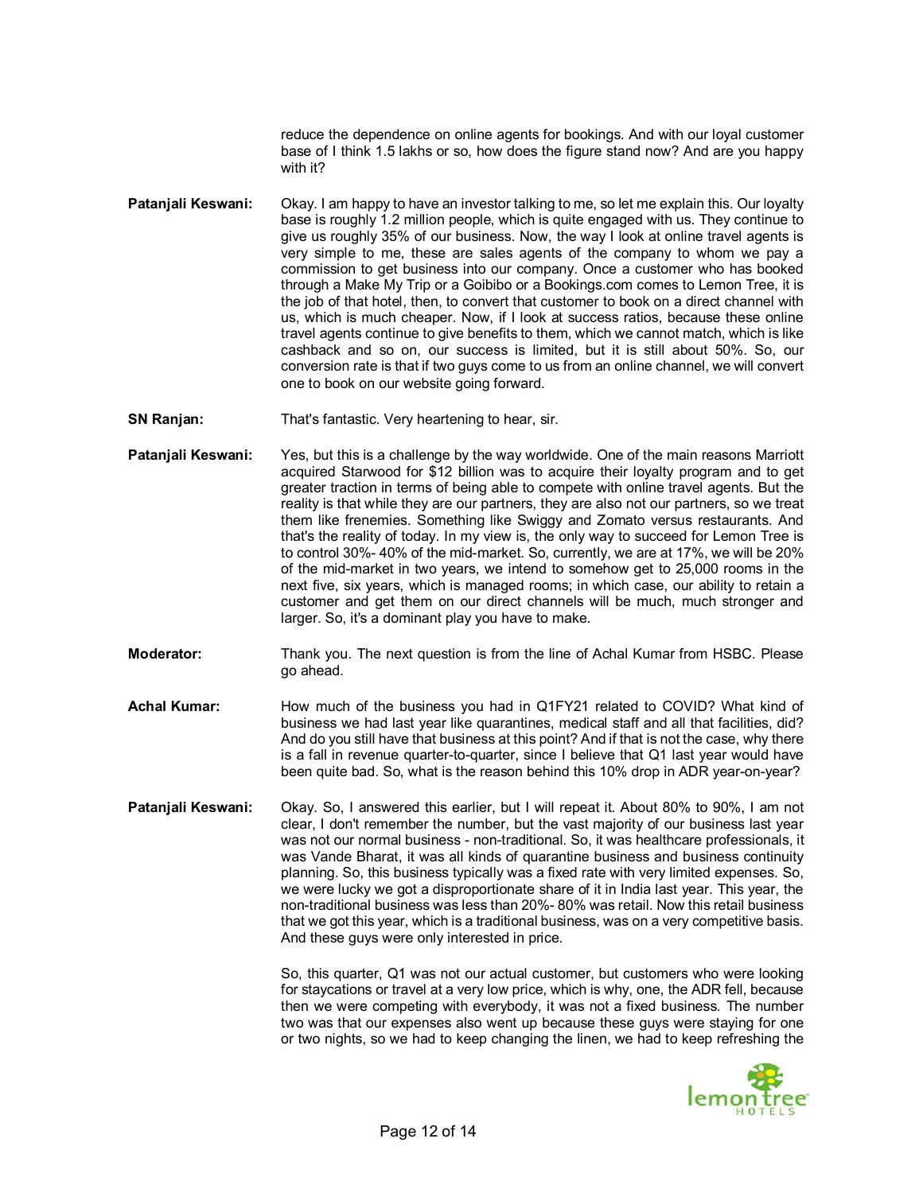reduce the dependence on online agents for bookings. And with our loyal customer base of I think 1.5 lakhs or so, how does the figure stand now? And are you happy with it?

- **Patanjali Keswani:** Okay. I am happy to have an investor talking to me, so let me explain this. Our loyalty base is roughly 1.2 million people, which is quite engaged with us. They continue to give us roughly 35% of our business. Now, the way I look at online travel agents is very simple to me, these are sales agents of the company to whom we pay a commission to get business into our company. Once a customer who has booked through a Make My Trip or a Goibibo or a Bookings.com comes to Lemon Tree, it is the job of that hotel, then, to convert that customer to book on a direct channel with us, which is much cheaper. Now, if I look at success ratios, because these online travel agents continue to give benefits to them, which we cannot match, which is like cashback and so on, our success is limited, but it is still about 50%. So, our conversion rate is that if two guys come to us from an online channel, we will convert one to book on our website going forward.
- **SN Ranjan:** That's fantastic. Very heartening to hear, sir.
- **Patanjali Keswani:** Yes, but this is a challenge by the way worldwide. One of the main reasons Marriott acquired Starwood for \$12 billion was to acquire their loyalty program and to get greater traction in terms of being able to compete with online travel agents. But the reality is that while they are our partners, they are also not our partners, so we treat them like frenemies. Something like Swiggy and Zomato versus restaurants. And that's the reality of today. In my view is, the only way to succeed for Lemon Tree is to control 30%- 40% of the mid-market. So, currently, we are at 17%, we will be 20% of the mid-market in two years, we intend to somehow get to 25,000 rooms in the next five, six years, which is managed rooms; in which case, our ability to retain a customer and get them on our direct channels will be much, much stronger and larger. So, it's a dominant play you have to make.
- **Moderator:** Thank you. The next question is from the line of Achal Kumar from HSBC. Please go ahead.
- **Achal Kumar:** How much of the business you had in Q1FY21 related to COVID? What kind of business we had last year like quarantines, medical staff and all that facilities, did? And do you still have that business at this point? And if that is not the case, why there is a fall in revenue quarter-to-quarter, since I believe that Q1 last year would have been quite bad. So, what is the reason behind this 10% drop in ADR year-on-year?
- **Patanjali Keswani:** Okay. So, I answered this earlier, but I will repeat it. About 80% to 90%, I am not clear, I don't remember the number, but the vast majority of our business last year was not our normal business - non-traditional. So, it was healthcare professionals, it was Vande Bharat, it was all kinds of quarantine business and business continuity planning. So, this business typically was a fixed rate with very limited expenses. So, we were lucky we got a disproportionate share of it in India last year. This year, the non-traditional business was less than 20%- 80% was retail. Now this retail business that we got this year, which is a traditional business, was on a very competitive basis. And these guys were only interested in price.

So, this quarter, Q1 was not our actual customer, but customers who were looking for staycations or travel at a very low price, which is why, one, the ADR fell, because then we were competing with everybody, it was not a fixed business. The number two was that our expenses also went up because these guys were staying for one or two nights, so we had to keep changing the linen, we had to keep refreshing the

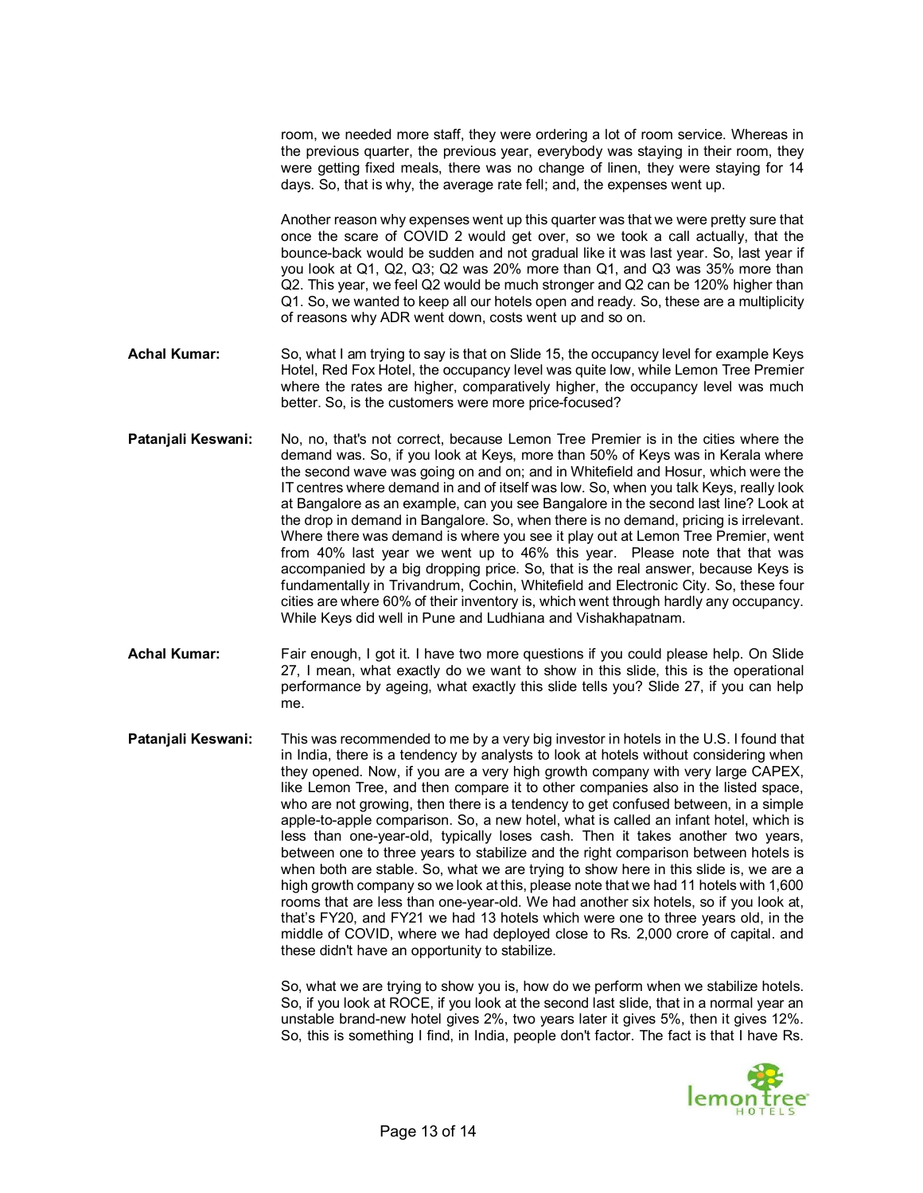room, we needed more staff, they were ordering a lot of room service. Whereas in the previous quarter, the previous year, everybody was staying in their room, they were getting fixed meals, there was no change of linen, they were staying for 14 days. So, that is why, the average rate fell; and, the expenses went up.

Another reason why expenses went up this quarter was that we were pretty sure that once the scare of COVID 2 would get over, so we took a call actually, that the bounce-back would be sudden and not gradual like it was last year. So, last year if you look at Q1, Q2, Q3; Q2 was 20% more than Q1, and Q3 was 35% more than Q2. This year, we feel Q2 would be much stronger and Q2 can be 120% higher than Q1. So, we wanted to keep all our hotels open and ready. So, these are a multiplicity of reasons why ADR went down, costs went up and so on.

- **Achal Kumar:** So, what I am trying to say is that on Slide 15, the occupancy level for example Keys Hotel, Red Fox Hotel, the occupancy level was quite low, while Lemon Tree Premier where the rates are higher, comparatively higher, the occupancy level was much better. So, is the customers were more price-focused?
- **Patanjali Keswani:** No, no, that's not correct, because Lemon Tree Premier is in the cities where the demand was. So, if you look at Keys, more than 50% of Keys was in Kerala where the second wave was going on and on; and in Whitefield and Hosur, which were the IT centres where demand in and of itself was low. So, when you talk Keys, really look at Bangalore as an example, can you see Bangalore in the second last line? Look at the drop in demand in Bangalore. So, when there is no demand, pricing is irrelevant. Where there was demand is where you see it play out at Lemon Tree Premier, went from 40% last year we went up to 46% this year. Please note that that was accompanied by a big dropping price. So, that is the real answer, because Keys is fundamentally in Trivandrum, Cochin, Whitefield and Electronic City. So, these four cities are where 60% of their inventory is, which went through hardly any occupancy. While Keys did well in Pune and Ludhiana and Vishakhapatnam.
- **Achal Kumar:** Fair enough, I got it. I have two more questions if you could please help. On Slide 27, I mean, what exactly do we want to show in this slide, this is the operational performance by ageing, what exactly this slide tells you? Slide 27, if you can help me.
- **Patanjali Keswani:** This was recommended to me by a very big investor in hotels in the U.S. I found that in India, there is a tendency by analysts to look at hotels without considering when they opened. Now, if you are a very high growth company with very large CAPEX, like Lemon Tree, and then compare it to other companies also in the listed space, who are not growing, then there is a tendency to get confused between, in a simple apple-to-apple comparison. So, a new hotel, what is called an infant hotel, which is less than one-year-old, typically loses cash. Then it takes another two years, between one to three years to stabilize and the right comparison between hotels is when both are stable. So, what we are trying to show here in this slide is, we are a high growth company so we look at this, please note that we had 11 hotels with 1,600 rooms that are less than one-year-old. We had another six hotels, so if you look at, that's FY20, and FY21 we had 13 hotels which were one to three years old, in the middle of COVID, where we had deployed close to Rs. 2,000 crore of capital. and these didn't have an opportunity to stabilize.

So, what we are trying to show you is, how do we perform when we stabilize hotels. So, if you look at ROCE, if you look at the second last slide, that in a normal year an unstable brand-new hotel gives 2%, two years later it gives 5%, then it gives 12%. So, this is something I find, in India, people don't factor. The fact is that I have Rs.